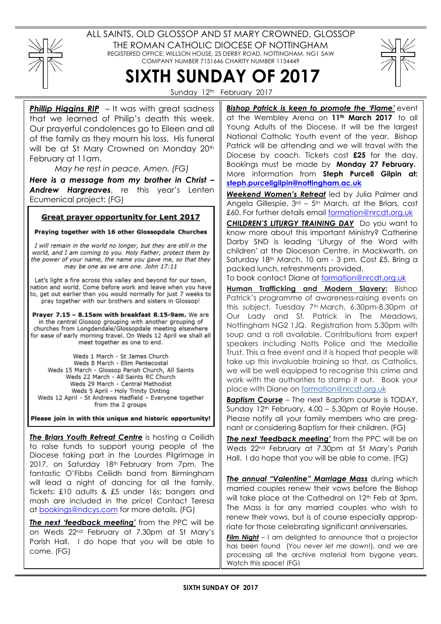

ALL SAINTS, OLD GLOSSOP AND ST MARY CROWNED, GLOSSOP THE ROMAN CATHOLIC DIOCESE OF NOTTINGHAM REGISTERED OFFICE: WILLSON HOUSE, 25 DERBY ROAD, NOTTINGHAM. NG1 5AW COMPANY NUMBER 7151646 CHARITY NUMBER 1134449



SIXTH SUNDAY OF 2017 Sunday 12<sup>th</sup> February 2017

**Phillip Higgins RIP** – It was with great sadness that we learned of Philip's death this week. Our prayerful condolences go to Eileen and all of the family as they mourn his loss. His funeral will be at St Mary Crowned on Monday 20<sup>th</sup> February at 11am.

May he rest in peace. Amen. (FG)

Here is a message from my brother in Christ – Andrew Hargreaves, re this year's Lenten Ecumenical project: (FG)

### Great prayer opportunity for Lent 2017

Praying together with 16 other Glossopdale Churches

I will remain in the world no longer, but they are still in the world, and I am coming to you. Holy Father, protect them by the power of your name, the name you gave me, so that they may be one as we are one. John 17:11

Let's light a fire across this valley and beyond for our town, nation and world. Come before work and leave when you have to, get out earlier than you would normally for just 7 weeks to pray together with our brothers and sisters in Glossop!

Prayer 7.15 - 8.15am with breakfast 8.15-9am. We are in the central Glossop grouping with another grouping of churches from Longdendale/Glossopdale meeting elsewhere for ease of early morning travel. On Weds 12 April we shall all meet together as one to end.

Weds 1 March - St James Church Weds 8 March - Elim Pentecostal Weds 15 March - Glossop Parish Church, All Saints Weds 22 March - All Saints RC Church Weds 29 March - Central Methodist Weds 5 April - Holy Trinity Dinting Weds 12 April - St Andrews Hadfield - Everyone together from the 2 groups

Please join in with this unique and historic opportunity!

The Briars Youth Retreat Centre is hosting a Ceilidh to raise funds to support young people of the Diocese taking part in the Lourdes Pilgrimage in 2017, on Saturday 18th February from 7pm. The fantastic O'Fibbs Ceilidh band from Birmingham will lead a night of dancing for all the family. Tickets: £10 adults & £5 under 16s; bangers and mash are included in the price! Contact Teresa at bookings@ndcys.com for more details. (FG)

The next 'feedback meeting' from the PPC will be on Weds 22nd February at 7.30pm at St Mary's Parish Hall. I do hope that you will be able to come. (FG)

Bishop Patrick is keen to promote the 'Flame' event at the Wembley Arena on 11<sup>th</sup> March 2017 to all Young Adults of the Diocese. It will be the largest National Catholic Youth event of the year. Bishop Patrick will be attending and we will travel with the Diocese by coach. Tickets cost £25 for the day. Bookings must be made by Monday 27 February. More information from Steph Purcell Gilpin at: steph.purcellgilpin@nottingham.ac.uk

Weekend Women's Retreat led by Julia Palmer and Angela Gillespie,  $3<sup>rd</sup> - 5<sup>th</sup>$  March, at the Briars, cost £60. For further details email formation@nrcdt.org.uk

CHILDREN'S LITURGY TRAINING DAY Do you want to know more about this important Ministry? Catherine Darby SND is leading 'Liturgy of the Word with children' at the Diocesan Centre, in Mackworth, on Saturday 18th March, 10 am - 3 pm. Cost £5. Bring a packed lunch, refreshments provided.

To book contact Diane at formation@nrcdt.org.uk

Human Trafficking and Modern Slavery: Bishop Patrick's programme of awareness-raising events on this subject, Tuesday 7<sup>th</sup> March, 6.30pm-8.30pm at Our Lady and St. Patrick in The Meadows, Nottingham NG2 1JQ. Registration from 5.30pm with soup and a roll available. Contributions from expert speakers including Notts Police and the Medaille Trust. This a free event and it is hoped that people will take up this invaluable training so that, as Catholics, we will be well equipped to recognise this crime and work with the authorities to stamp it out. Book your place with Diane on formation@nrcdt.org.uk

**Baptism Course** – The next Baptism course is TODAY, Sunday  $12<sup>th</sup>$  February, 4.00 – 5.30pm at Royle House. Please notify all your family members who are pregnant or considering Baptism for their children. (FG)

The next 'feedback meeting' from the PPC will be on Weds 22nd February at 7.30pm at St Mary's Parish Hall. I do hope that you will be able to come. (FG)

The annual "Valentine" Marriage Mass during which married couples renew their vows before the Bishop will take place at the Cathedral on 12<sup>th</sup> Feb at 3pm. The Mass is for any married couples who wish to renew their vows, but is of course especially appropriate for those celebrating significant anniversaries.

Film Night – I am delighted to announce that a projector has been found (You never let me down!), and we are processing all the archive material from bygone years. Watch this space! (FG)